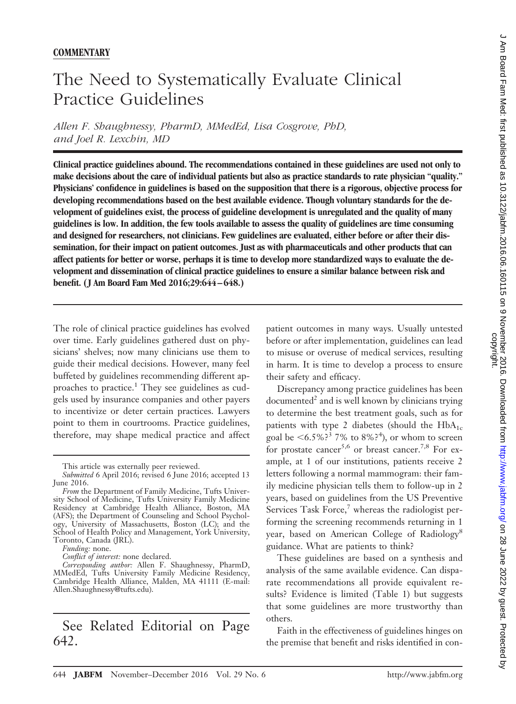## The Need to Systematically Evaluate Clinical Practice Guidelines

*Allen F. Shaughnessy, PharmD, MMedEd, Lisa Cosgrove, PhD, and Joel R. Lexchin, MD*

**Clinical practice guidelines abound. The recommendations contained in these guidelines are used not only to make decisions about the care of individual patients but also as practice standards to rate physician "quality." Physicians' confidence in guidelines is based on the supposition that there is a rigorous, objective process for developing recommendations based on the best available evidence. Though voluntary standards for the development of guidelines exist, the process of guideline development is unregulated and the quality of many guidelines is low. In addition, the few tools available to assess the quality of guidelines are time consuming and designed for researchers, not clinicians. Few guidelines are evaluated, either before or after their dissemination, for their impact on patient outcomes. Just as with pharmaceuticals and other products that can affect patients for better or worse, perhaps it is time to develop more standardized ways to evaluate the development and dissemination of clinical practice guidelines to ensure a similar balance between risk and benefit. (J Am Board Fam Med 2016;29:644–648.)**

The role of clinical practice guidelines has evolved over time. Early guidelines gathered dust on physicians' shelves; now many clinicians use them to guide their medical decisions. However, many feel buffeted by guidelines recommending different approaches to practice.<sup>1</sup> They see guidelines as cudgels used by insurance companies and other payers to incentivize or deter certain practices. Lawyers point to them in courtrooms. Practice guidelines, therefore, may shape medical practice and affect

*Funding:* none.

## See Related Editorial on Page 642.

patient outcomes in many ways. Usually untested before or after implementation, guidelines can lead to misuse or overuse of medical services, resulting in harm. It is time to develop a process to ensure their safety and efficacy.

Discrepancy among practice guidelines has been  $documented<sup>2</sup>$  and is well known by clinicians trying to determine the best treatment goals, such as for patients with type 2 diabetes (should the  $HbA_{1c}$ goal be  $\leq 6.5\%$ ?<sup>3</sup> 7% to 8%?<sup>4</sup>), or whom to screen for prostate cancer<sup>5,6</sup> or breast cancer.<sup>7,8</sup> For example, at 1 of our institutions, patients receive 2 letters following a normal mammogram: their family medicine physician tells them to follow-up in 2 years, based on guidelines from the US Preventive Services Task Force, $\frac{7}{7}$  whereas the radiologist performing the screening recommends returning in 1 year, based on American College of Radiology<sup>8</sup> guidance. What are patients to think?

These guidelines are based on a synthesis and analysis of the same available evidence. Can disparate recommendations all provide equivalent results? Evidence is limited (Table 1) but suggests that some guidelines are more trustworthy than others.

Faith in the effectiveness of guidelines hinges on the premise that benefit and risks identified in con-

This article was externally peer reviewed.

*Submitted* 6 April 2016; revised 6 June 2016; accepted 13 June 2016.

*From* the Department of Family Medicine, Tufts University School of Medicine, Tufts University Family Medicine Residency at Cambridge Health Alliance, Boston, MA (AFS); the Department of Counseling and School Psychology, University of Massachusetts, Boston (LC); and the School of Health Policy and Management, York University, Toronto, Canada (JRL).

*Conflict of interest:* none declared.

*Corresponding author:* Allen F. Shaughnessy, PharmD, MMedEd, Tufts University Family Medicine Residency, Cambridge Health Alliance, Malden, MA 41111 E-mail: Allen.Shaughnessy@tufts.edu).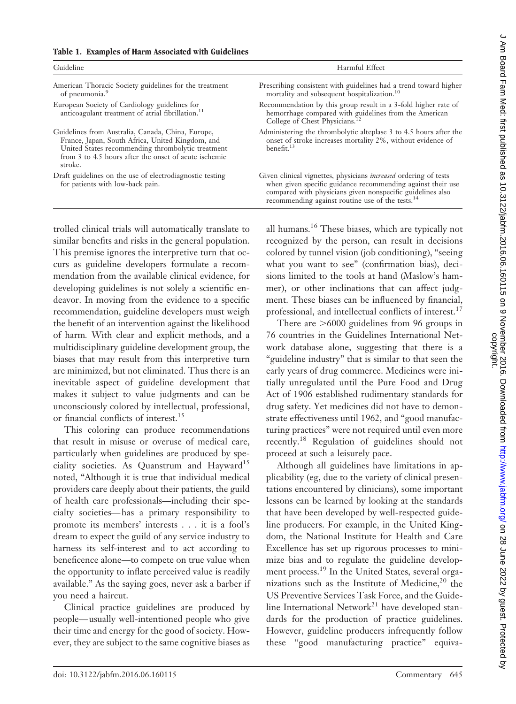| Guideline                                                                                                                                                                                                                      | Harmful Effect                                                                                                                                                                                                                                                       |
|--------------------------------------------------------------------------------------------------------------------------------------------------------------------------------------------------------------------------------|----------------------------------------------------------------------------------------------------------------------------------------------------------------------------------------------------------------------------------------------------------------------|
| American Thoracic Society guidelines for the treatment<br>of pneumonia.9                                                                                                                                                       | Prescribing consistent with guidelines had a trend toward higher<br>mortality and subsequent hospitalization. <sup>10</sup>                                                                                                                                          |
| European Society of Cardiology guidelines for<br>anticoagulant treatment of atrial fibrillation. <sup>11</sup>                                                                                                                 | Recommendation by this group result in a 3-fold higher rate of<br>hemorrhage compared with guidelines from the American<br>College of Chest Physicians. <sup>12</sup>                                                                                                |
| Guidelines from Australia, Canada, China, Europe,<br>France, Japan, South Africa, United Kingdom, and<br>United States recommending thrombolytic treatment<br>from 3 to 4.5 hours after the onset of acute ischemic<br>stroke. | Administering the thrombolytic alteplase 3 to 4.5 hours after the<br>onset of stroke increases mortality 2%, without evidence of<br>benefit. <sup>13</sup>                                                                                                           |
| Draft guidelines on the use of electrodiagnostic testing<br>for patients with low-back pain.                                                                                                                                   | Given clinical vignettes, physicians <i>increased</i> ordering of tests<br>when given specific guidance recommending against their use<br>compared with physicians given nonspecific guidelines also<br>recommending against routine use of the tests. <sup>14</sup> |

trolled clinical trials will automatically translate to similar benefits and risks in the general population. This premise ignores the interpretive turn that occurs as guideline developers formulate a recommendation from the available clinical evidence, for developing guidelines is not solely a scientific endeavor. In moving from the evidence to a specific recommendation, guideline developers must weigh the benefit of an intervention against the likelihood of harm*.* With clear and explicit methods, and a multidisciplinary guideline development group, the biases that may result from this interpretive turn are minimized, but not eliminated. Thus there is an inevitable aspect of guideline development that makes it subject to value judgments and can be unconsciously colored by intellectual, professional, or financial conflicts of interest.<sup>15</sup>

This coloring can produce recommendations that result in misuse or overuse of medical care, particularly when guidelines are produced by speciality societies. As Quanstrum and Hayward<sup>15</sup> noted, "Although it is true that individual medical providers care deeply about their patients, the guild of health care professionals—including their specialty societies— has a primary responsibility to promote its members' interests . . . it is a fool's dream to expect the guild of any service industry to harness its self-interest and to act according to beneficence alone—to compete on true value when the opportunity to inflate perceived value is readily available." As the saying goes, never ask a barber if you need a haircut.

Clinical practice guidelines are produced by people— usually well-intentioned people who give their time and energy for the good of society. However, they are subject to the same cognitive biases as

all humans.16 These biases, which are typically not recognized by the person, can result in decisions colored by tunnel vision (job conditioning), "seeing what you want to see" (confirmation bias), decisions limited to the tools at hand (Maslow's hammer), or other inclinations that can affect judgment. These biases can be influenced by financial, professional, and intellectual conflicts of interest.<sup>17</sup>

There are  $>6000$  guidelines from 96 groups in 76 countries in the Guidelines International Network database alone, suggesting that there is a "guideline industry" that is similar to that seen the early years of drug commerce. Medicines were initially unregulated until the Pure Food and Drug Act of 1906 established rudimentary standards for drug safety. Yet medicines did not have to demonstrate effectiveness until 1962, and "good manufacturing practices" were not required until even more recently.18 Regulation of guidelines should not proceed at such a leisurely pace.

Although all guidelines have limitations in applicability (eg, due to the variety of clinical presentations encountered by clinicians), some important lessons can be learned by looking at the standards that have been developed by well-respected guideline producers. For example, in the United Kingdom, the National Institute for Health and Care Excellence has set up rigorous processes to minimize bias and to regulate the guideline development process.<sup>19</sup> In the United States, several organizations such as the Institute of Medicine,<sup>20</sup> the US Preventive Services Task Force, and the Guideline International Network<sup>21</sup> have developed standards for the production of practice guidelines. However, guideline producers infrequently follow these "good manufacturing practice" equiva-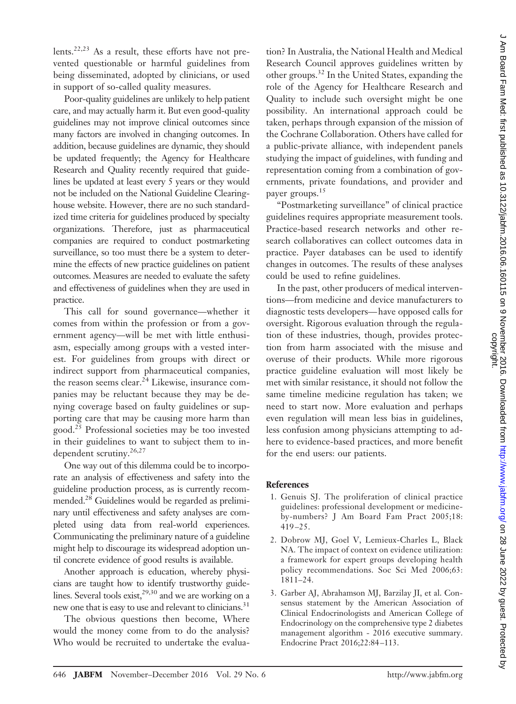lents.<sup>22,23</sup> As a result, these efforts have not prevented questionable or harmful guidelines from being disseminated, adopted by clinicians, or used in support of so-called quality measures.

Poor-quality guidelines are unlikely to help patient care, and may actually harm it. But even good-quality guidelines may not improve clinical outcomes since many factors are involved in changing outcomes. In addition, because guidelines are dynamic, they should be updated frequently; the Agency for Healthcare Research and Quality recently required that guidelines be updated at least every 5 years or they would not be included on the National Guideline Clearinghouse website. However, there are no such standardized time criteria for guidelines produced by specialty organizations. Therefore, just as pharmaceutical companies are required to conduct postmarketing surveillance, so too must there be a system to determine the effects of new practice guidelines on patient outcomes. Measures are needed to evaluate the safety and effectiveness of guidelines when they are used in practice.

This call for sound governance—whether it comes from within the profession or from a government agency—will be met with little enthusiasm, especially among groups with a vested interest. For guidelines from groups with direct or indirect support from pharmaceutical companies, the reason seems clear. $^{24}$  Likewise, insurance companies may be reluctant because they may be denying coverage based on faulty guidelines or supporting care that may be causing more harm than good.<sup>25</sup> Professional societies may be too invested in their guidelines to want to subject them to independent scrutiny.<sup>26,27</sup>

One way out of this dilemma could be to incorporate an analysis of effectiveness and safety into the guideline production process, as is currently recommended.28 Guidelines would be regarded as preliminary until effectiveness and safety analyses are completed using data from real-world experiences. Communicating the preliminary nature of a guideline might help to discourage its widespread adoption until concrete evidence of good results is available.

Another approach is education, whereby physicians are taught how to identify trustworthy guidelines. Several tools exist,  $29,30$  and we are working on a new one that is easy to use and relevant to clinicians.<sup>31</sup>

The obvious questions then become, Where would the money come from to do the analysis? Who would be recruited to undertake the evaluation? In Australia, the National Health and Medical Research Council approves guidelines written by other groups.<sup>32</sup> In the United States, expanding the role of the Agency for Healthcare Research and Quality to include such oversight might be one possibility. An international approach could be taken, perhaps through expansion of the mission of the Cochrane Collaboration. Others have called for a public-private alliance, with independent panels studying the impact of guidelines, with funding and representation coming from a combination of governments, private foundations, and provider and payer groups.15

"Postmarketing surveillance" of clinical practice guidelines requires appropriate measurement tools. Practice-based research networks and other research collaboratives can collect outcomes data in practice. Payer databases can be used to identify changes in outcomes. The results of these analyses could be used to refine guidelines.

In the past, other producers of medical interventions—from medicine and device manufacturers to diagnostic tests developers— have opposed calls for oversight. Rigorous evaluation through the regulation of these industries, though, provides protection from harm associated with the misuse and overuse of their products. While more rigorous practice guideline evaluation will most likely be met with similar resistance, it should not follow the same timeline medicine regulation has taken; we need to start now. More evaluation and perhaps even regulation will mean less bias in guidelines, less confusion among physicians attempting to adhere to evidence-based practices, and more benefit for the end users: our patients.

## **References**

- 1. Genuis SJ. The proliferation of clinical practice guidelines: professional development or medicineby-numbers? J Am Board Fam Pract 2005;18: 419 –25.
- 2. Dobrow MJ, Goel V, Lemieux-Charles L, Black NA. The impact of context on evidence utilization: a framework for expert groups developing health policy recommendations. Soc Sci Med 2006;63: 1811–24.
- 3. Garber AJ, Abrahamson MJ, Barzilay JI, et al. Consensus statement by the American Association of Clinical Endocrinologists and American College of Endocrinology on the comprehensive type 2 diabetes management algorithm - 2016 executive summary. Endocrine Pract 2016;22:84 –113.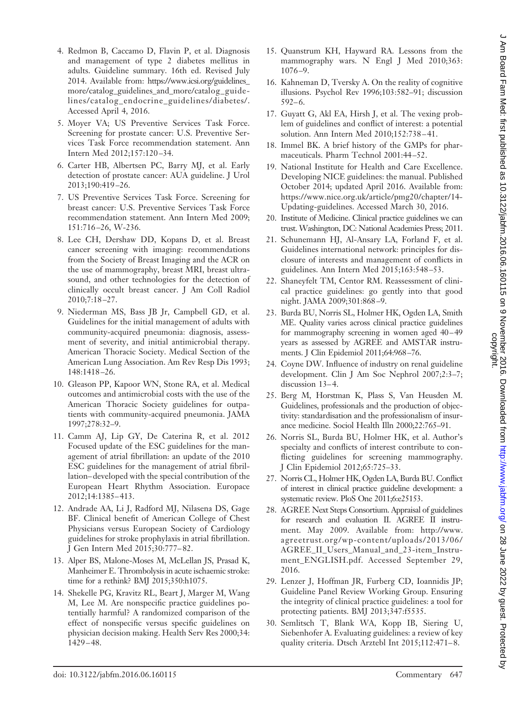- 5. Moyer VA; US Preventive Services Task Force. Screening for prostate cancer: U.S. Preventive Services Task Force recommendation statement. Ann Intern Med 2012;157:120 –34.
- 6. Carter HB, Albertsen PC, Barry MJ, et al. Early detection of prostate cancer: AUA guideline. J Urol 2013;190:419 –26.
- 7. US Preventive Services Task Force. Screening for breast cancer: U.S. Preventive Services Task Force recommendation statement. Ann Intern Med 2009; 151:716 –26, W-236.
- 8. Lee CH, Dershaw DD, Kopans D, et al. Breast cancer screening with imaging: recommendations from the Society of Breast Imaging and the ACR on the use of mammography, breast MRI, breast ultrasound, and other technologies for the detection of clinically occult breast cancer. J Am Coll Radiol 2010;7:18 –27.
- 9. Niederman MS, Bass JB Jr, Campbell GD, et al. Guidelines for the initial management of adults with community-acquired pneumonia: diagnosis, assessment of severity, and initial antimicrobial therapy. American Thoracic Society. Medical Section of the American Lung Association. Am Rev Resp Dis 1993; 148:1418 –26.
- 10. Gleason PP, Kapoor WN, Stone RA, et al. Medical outcomes and antimicrobial costs with the use of the American Thoracic Society guidelines for outpatients with community-acquired pneumonia. JAMA 1997;278:32–9.
- 11. Camm AJ, Lip GY, De Caterina R, et al. 2012 Focused update of the ESC guidelines for the management of atrial fibrillation: an update of the 2010 ESC guidelines for the management of atrial fibrillation– developed with the special contribution of the European Heart Rhythm Association. Europace 2012;14:1385– 413.
- 12. Andrade AA, Li J, Radford MJ, Nilasena DS, Gage BF. Clinical benefit of American College of Chest Physicians versus European Society of Cardiology guidelines for stroke prophylaxis in atrial fibrillation. J Gen Intern Med 2015;30:777– 82.
- 13. Alper BS, Malone-Moses M, McLellan JS, Prasad K, Manheimer E. Thrombolysis in acute ischaemic stroke: time for a rethink? BMJ 2015;350:h1075.
- 14. Shekelle PG, Kravitz RL, Beart J, Marger M, Wang M, Lee M. Are nonspecific practice guidelines potentially harmful? A randomized comparison of the effect of nonspecific versus specific guidelines on physician decision making. Health Serv Res 2000;34: 1429 – 48.
- 15. Quanstrum KH, Hayward RA. Lessons from the mammography wars. N Engl J Med 2010;363: 1076 –9.
- 16. Kahneman D, Tversky A. On the reality of cognitive illusions. Psychol Rev 1996;103:582–91; discussion  $592-6.$
- 17. Guyatt G, Akl EA, Hirsh J, et al. The vexing problem of guidelines and conflict of interest: a potential solution. Ann Intern Med 2010;152:738 – 41.
- 18. Immel BK. A brief history of the GMPs for pharmaceuticals. Pharm Technol 2001:44 –52.
- 19. National Institute for Health and Care Excellence. Developing NICE guidelines: the manual. Published October 2014; updated April 2016. Available from: https://www.nice.org.uk/article/pmg20/chapter/14- Updating-guidelines. Accessed March 30, 2016.
- 20. Institute of Medicine. Clinical practice guidelines we can trust. Washington, DC: National Academies Press; 2011.
- 21. Schunemann HJ, Al-Ansary LA, Forland F, et al. Guidelines international network: principles for disclosure of interests and management of conflicts in guidelines. Ann Intern Med 2015;163:548 –53.
- 22. Shaneyfelt TM, Centor RM. Reassessment of clinical practice guidelines: go gently into that good night. JAMA 2009;301:868 –9.
- 23. Burda BU, Norris SL, Holmer HK, Ogden LA, Smith ME. Quality varies across clinical practice guidelines for mammography screening in women aged 40 –49 years as assessed by AGREE and AMSTAR instruments. J Clin Epidemiol 2011;64:968 –76.
- 24. Coyne DW. Influence of industry on renal guideline development. Clin J Am Soc Nephrol 2007;2:3–7; discussion 13-4.
- 25. Berg M, Horstman K, Plass S, Van Heusden M. Guidelines, professionals and the production of objectivity: standardisation and the professionalism of insurance medicine. Sociol Health Illn 2000;22:765–91.
- 26. Norris SL, Burda BU, Holmer HK, et al. Author's specialty and conflicts of interest contribute to conflicting guidelines for screening mammography. J Clin Epidemiol 2012;65:725–33.
- 27. Norris CL, Holmer HK, Ogden LA, Burda BU. Conflict of interest in clinical practice guideline development: a systematic review. PloS One 2011;6:e25153.
- 28. AGREE Next Steps Consortium. Appraisal of guidelines for research and evaluation II. AGREE II instrument. May 2009. Available from: [http://www.](http://www.agreetrust.org/wp-content/uploads/2013/06/AGREE_II_Users_Manual_and_23-item_Instrument_ENGLISH.pdf) [agreetrust.org/wp-content/uploads/2013/06/](http://www.agreetrust.org/wp-content/uploads/2013/06/AGREE_II_Users_Manual_and_23-item_Instrument_ENGLISH.pdf) [AGREE\\_II\\_Users\\_Manual\\_and\\_23-item\\_Instru](http://www.agreetrust.org/wp-content/uploads/2013/06/AGREE_II_Users_Manual_and_23-item_Instrument_ENGLISH.pdf)[ment\\_ENGLISH.pdf.](http://www.agreetrust.org/wp-content/uploads/2013/06/AGREE_II_Users_Manual_and_23-item_Instrument_ENGLISH.pdf) Accessed September 29, 2016.
- 29. Lenzer J, Hoffman JR, Furberg CD, Ioannidis JP; Guideline Panel Review Working Group. Ensuring the integrity of clinical practice guidelines: a tool for protecting patients. BMJ 2013;347:f5535.
- 30. Semlitsch T, Blank WA, Kopp IB, Siering U, Siebenhofer A. Evaluating guidelines: a review of key quality criteria. Dtsch Arztebl Int 2015;112:471-8.